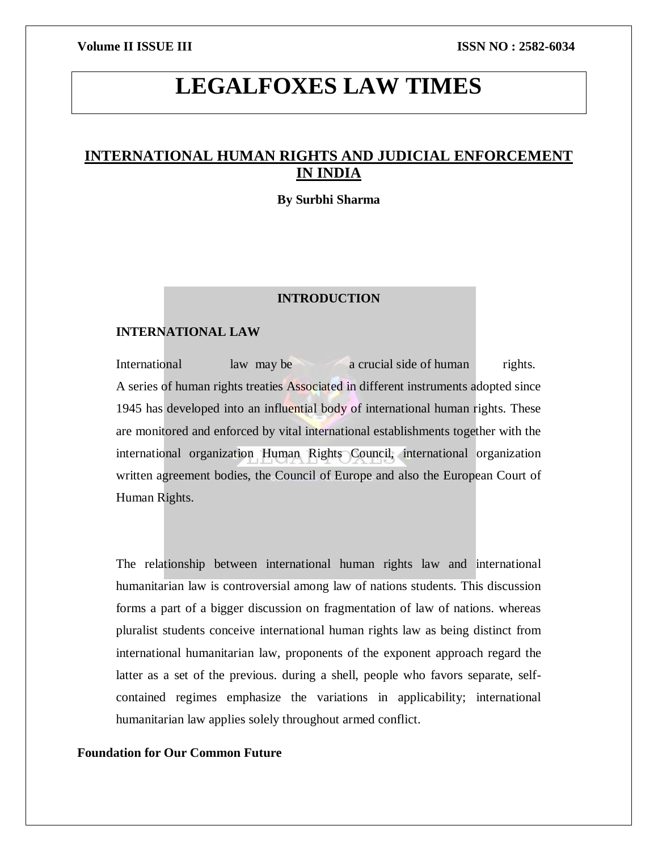# **LEGALFOXES LAW TIMES**

## **INTERNATIONAL HUMAN RIGHTS AND JUDICIAL ENFORCEMENT IN INDIA**

#### **By Surbhi Sharma**

#### **INTRODUCTION**

### **INTERNATIONAL LAW**

International law may be a crucial side of human rights. A series of human rights treaties Associated in different instruments adopted since 1945 has developed into an influential body of international human rights. These are monitored and enforced by vital international establishments together with the international organization Human Rights Council, international organization written agreement bodies, the Council of Europe and also the European Court of Human Rights.

The relationship between international human rights law and international humanitarian law is controversial among law of nations students. This discussion forms a part of a bigger discussion on fragmentation of law of nations. whereas pluralist students conceive international human rights law as being distinct from international humanitarian law, proponents of the exponent approach regard the latter as a set of the previous. during a shell, people who favors separate, selfcontained regimes emphasize the variations in applicability; international humanitarian law applies solely throughout armed conflict.

### **Foundation for Our Common Future**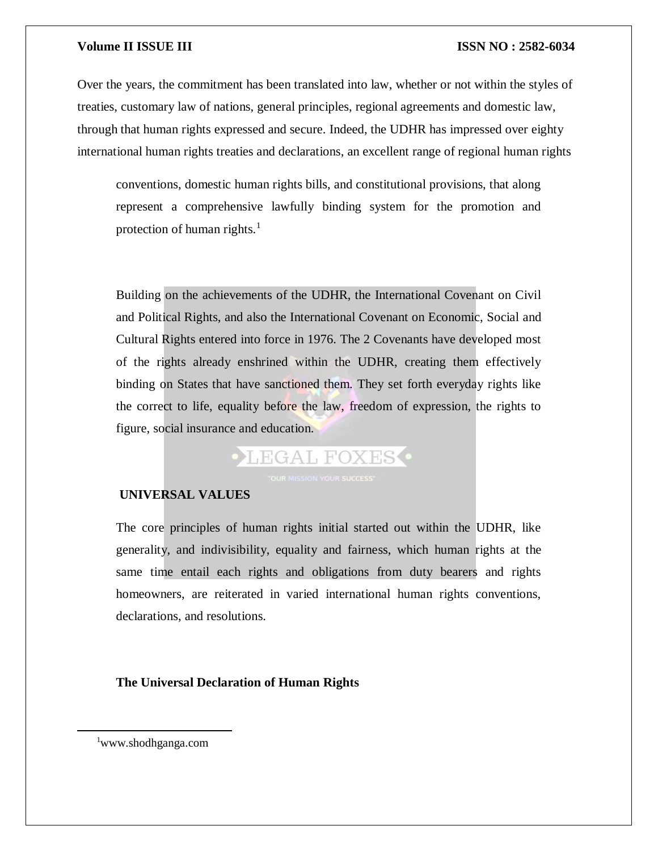Over the years, the commitment has been translated into law, whether or not within the styles of treaties, customary law of nations, general principles, regional agreements and domestic law, through that human rights expressed and secure. Indeed, the UDHR has impressed over eighty international human rights treaties and declarations, an excellent range of regional human rights

conventions, domestic human rights bills, and constitutional provisions, that along represent a comprehensive lawfully binding system for the promotion and protection of human rights. $<sup>1</sup>$ </sup>

Building on the achievements of the UDHR, the International Covenant on Civil and Political Rights, and also the International Covenant on Economic, Social and Cultural Rights entered into force in 1976. The 2 Covenants have developed most of the rights already enshrined within the UDHR, creating them effectively binding on States that have sanctioned them. They set forth everyday rights like the correct to life, equality before the law, freedom of expression, the rights to figure, social insurance and education.

# **• LEGAL FOXES**

### **UNIVERSAL VALUES**

The core principles of human rights initial started out within the UDHR, like generality, and indivisibility, equality and fairness, which human rights at the same time entail each rights and obligations from duty bearers and rights homeowners, are reiterated in varied international human rights conventions, declarations, and resolutions.

#### **The Universal Declaration of Human Rights**

<sup>1</sup>www.shodhganga.com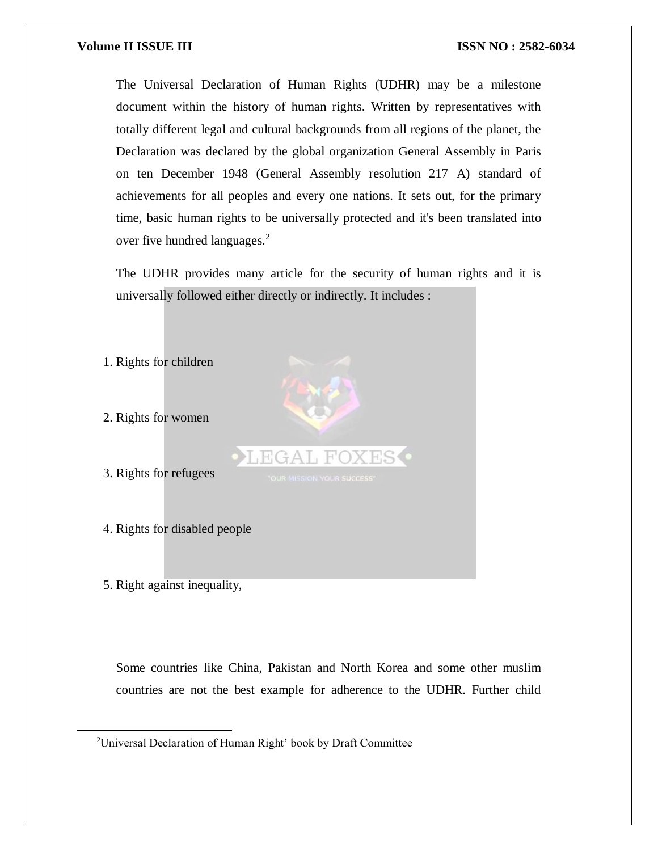The Universal Declaration of Human Rights (UDHR) may be a milestone document within the history of human rights. Written by representatives with totally different legal and cultural backgrounds from all regions of the planet, the Declaration was declared by the global organization General Assembly in Paris on ten December 1948 (General Assembly resolution 217 A) standard of achievements for all peoples and every one nations. It sets out, for the primary time, basic human rights to be universally protected and it's been translated into over five hundred languages.<sup>2</sup>

The UDHR provides many article for the security of human rights and it is universally followed either directly or indirectly. It includes :



Some countries like China, Pakistan and North Korea and some other muslim countries are not the best example for adherence to the UDHR. Further child

<sup>&</sup>lt;sup>2</sup>Universal Declaration of Human Right' book by Draft Committee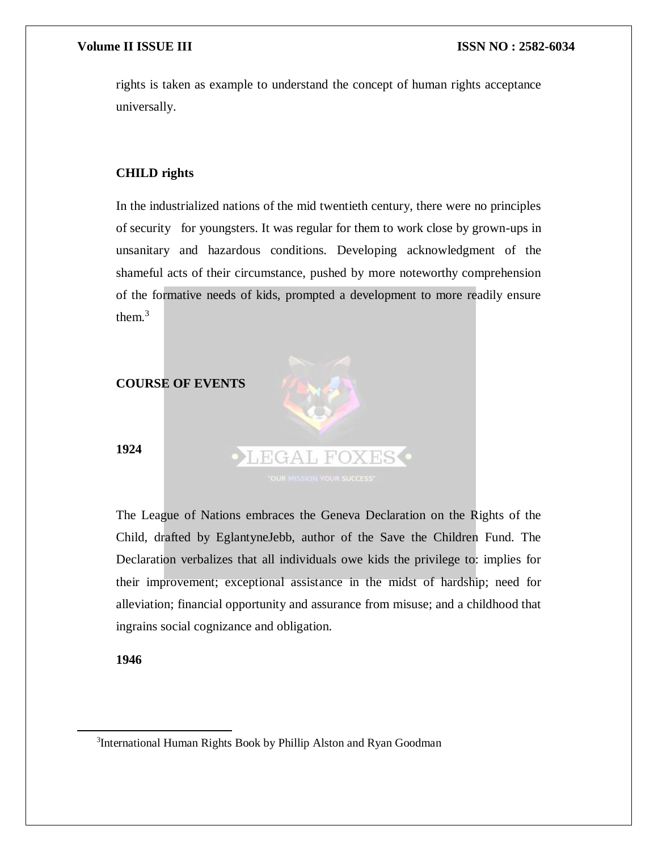rights is taken as example to understand the concept of human rights acceptance universally.

#### **CHILD rights**

In the industrialized nations of the mid twentieth century, there were no principles of security for youngsters. It was regular for them to work close by grown-ups in unsanitary and hazardous conditions. Developing acknowledgment of the shameful acts of their circumstance, pushed by more noteworthy comprehension of the formative needs of kids, prompted a development to more readily ensure them.<sup>3</sup>



The League of Nations embraces the Geneva Declaration on the Rights of the Child, drafted by EglantyneJebb, author of the Save the Children Fund. The Declaration verbalizes that all individuals owe kids the privilege to: implies for their improvement; exceptional assistance in the midst of hardship; need for alleviation; financial opportunity and assurance from misuse; and a childhood that ingrains social cognizance and obligation.

#### **1946**

<sup>&</sup>lt;sup>3</sup>International Human Rights Book by Phillip Alston and Ryan Goodman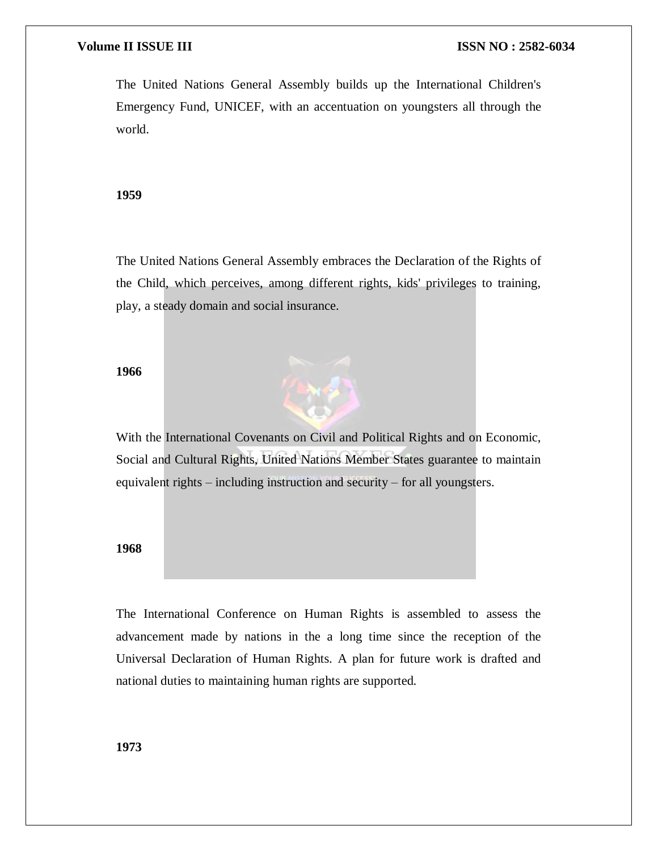The United Nations General Assembly builds up the International Children's Emergency Fund, UNICEF, with an accentuation on youngsters all through the world.

#### **1959**

The United Nations General Assembly embraces the Declaration of the Rights of the Child, which perceives, among different rights, kids' privileges to training, play, a steady domain and social insurance.

#### **1966**



#### **1968**

The International Conference on Human Rights is assembled to assess the advancement made by nations in the a long time since the reception of the Universal Declaration of Human Rights. A plan for future work is drafted and national duties to maintaining human rights are supported.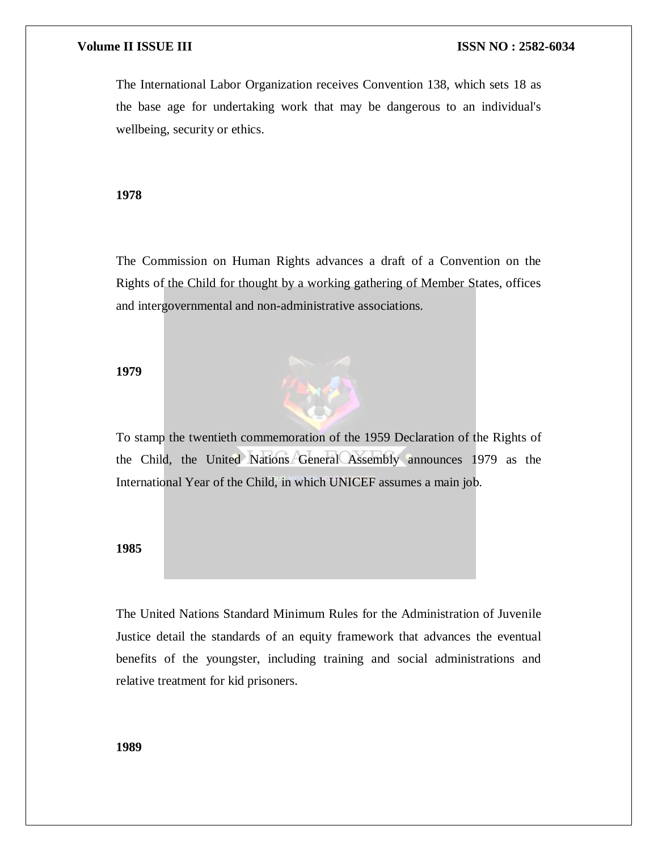The International Labor Organization receives Convention 138, which sets 18 as the base age for undertaking work that may be dangerous to an individual's wellbeing, security or ethics.

#### **1978**

The Commission on Human Rights advances a draft of a Convention on the Rights of the Child for thought by a working gathering of Member States, offices and intergovernmental and non-administrative associations.

#### **1979**



#### **1985**

The United Nations Standard Minimum Rules for the Administration of Juvenile Justice detail the standards of an equity framework that advances the eventual benefits of the youngster, including training and social administrations and relative treatment for kid prisoners.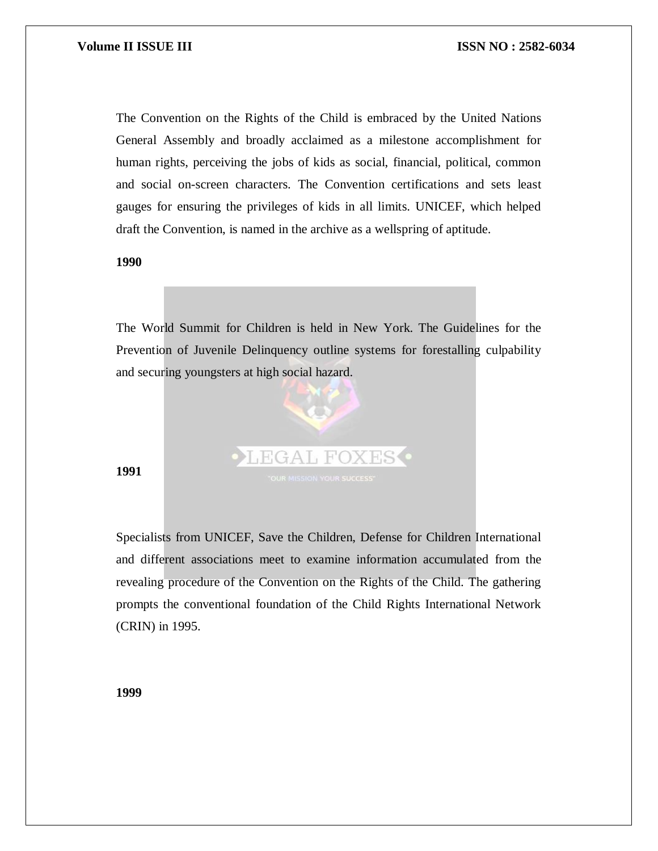The Convention on the Rights of the Child is embraced by the United Nations General Assembly and broadly acclaimed as a milestone accomplishment for human rights, perceiving the jobs of kids as social, financial, political, common and social on-screen characters. The Convention certifications and sets least gauges for ensuring the privileges of kids in all limits. UNICEF, which helped draft the Convention, is named in the archive as a wellspring of aptitude.

**1990**

The World Summit for Children is held in New York. The Guidelines for the Prevention of Juvenile Delinquency outline systems for forestalling culpability and securing youngsters at high social hazard.



#### **1991**

Specialists from UNICEF, Save the Children, Defense for Children International and different associations meet to examine information accumulated from the revealing procedure of the Convention on the Rights of the Child. The gathering prompts the conventional foundation of the Child Rights International Network (CRIN) in 1995.

**1999**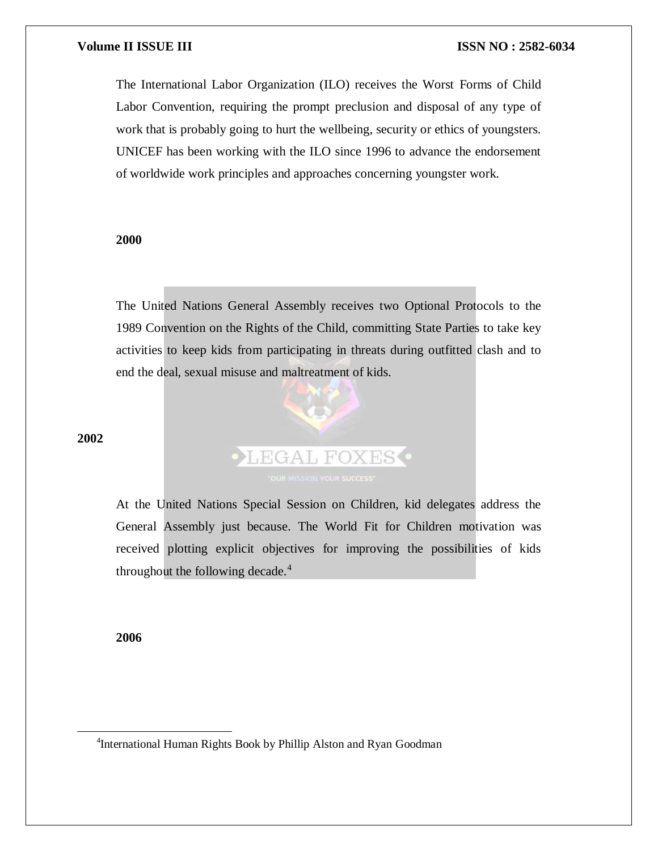The International Labor Organization (ILO) receives the Worst Forms of Child Labor Convention, requiring the prompt preclusion and disposal of any type of work that is probably going to hurt the wellbeing, security or ethics of youngsters. UNICEF has been working with the ILO since 1996 to advance the endorsement of worldwide work principles and approaches concerning youngster work.

#### **2000**

The United Nations General Assembly receives two Optional Protocols to the 1989 Convention on the Rights of the Child, committing State Parties to take key activities to keep kids from participating in threats during outfitted clash and to end the deal, sexual misuse and maltreatment of kids.



At the United Nations Special Session on Children, kid delegates address the General Assembly just because. The World Fit for Children motivation was received plotting explicit objectives for improving the possibilities of kids throughout the following decade.<sup>4</sup>

**2006**

 $\overline{a}$ 

<sup>4</sup>International Human Rights Book by Phillip Alston and Ryan Goodman

#### **2002**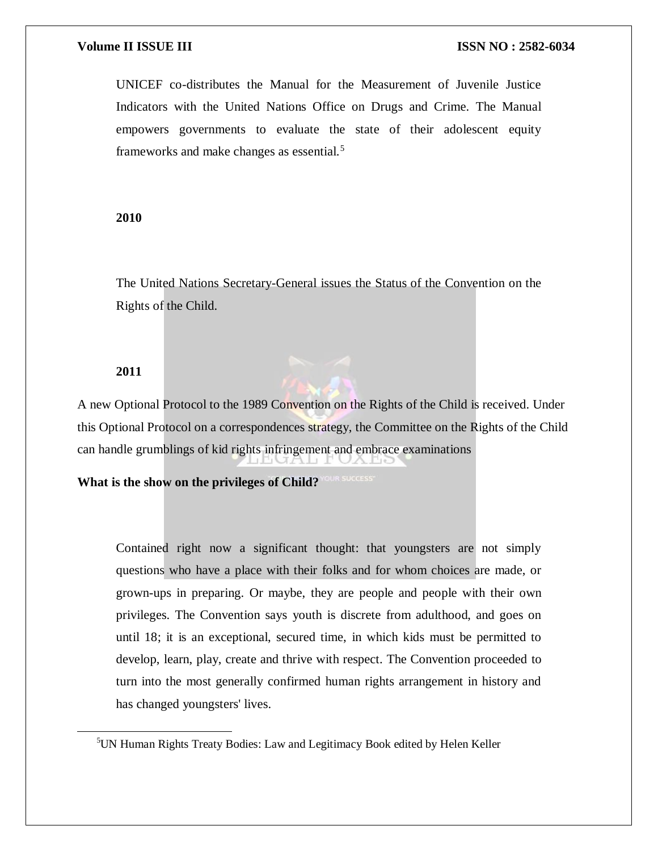UNICEF co-distributes the Manual for the Measurement of Juvenile Justice Indicators with the United Nations Office on Drugs and Crime. The Manual empowers governments to evaluate the state of their adolescent equity frameworks and make changes as essential.<sup>5</sup>

#### **2010**

The United Nations Secretary-General issues the Status of the Convention on the Rights of the Child.

#### **2011**

 $\overline{a}$ 

A new Optional Protocol to the 1989 Convention on the Rights of the Child is received. Under this Optional Protocol on a correspondences strategy, the Committee on the Rights of the Child can handle grumblings of kid rights infringement and embrace examinations

**What is the show on the privileges of Child?**

Contained right now a significant thought: that youngsters are not simply questions who have a place with their folks and for whom choices are made, or grown-ups in preparing. Or maybe, they are people and people with their own privileges. The Convention says youth is discrete from adulthood, and goes on until 18; it is an exceptional, secured time, in which kids must be permitted to develop, learn, play, create and thrive with respect. The Convention proceeded to turn into the most generally confirmed human rights arrangement in history and has changed youngsters' lives.

<sup>5</sup>UN Human Rights Treaty Bodies: Law and Legitimacy Book edited by Helen Keller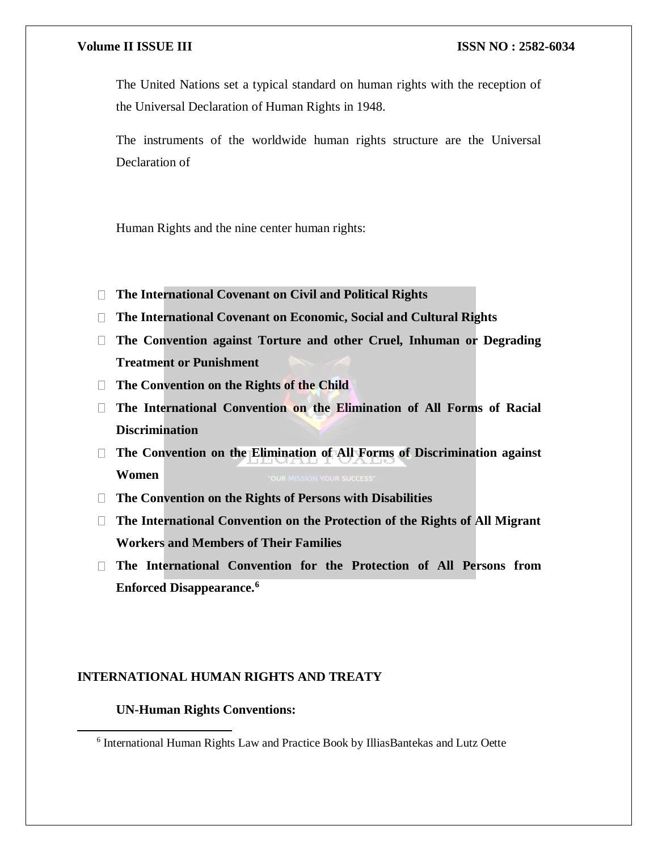The United Nations set a typical standard on human rights with the reception of the Universal Declaration of Human Rights in 1948.

The instruments of the worldwide human rights structure are the Universal Declaration of

Human Rights and the nine center human rights:

- **The International Covenant on Civil and Political Rights**
- **The International Covenant on Economic, Social and Cultural Rights**
- **The Convention against Torture and other Cruel, Inhuman or Degrading Treatment or Punishment**
- **The Convention on the Rights of the Child**
- **The International Convention on the Elimination of All Forms of Racial Discrimination**
- **The Convention on the Elimination of All Forms of Discrimination against Women**
- **The Convention on the Rights of Persons with Disabilities**
- **The International Convention on the Protection of the Rights of All Migrant Workers and Members of Their Families**
- **The International Convention for the Protection of All Persons from Enforced Disappearance.<sup>6</sup>**

#### **INTERNATIONAL HUMAN RIGHTS AND TREATY**

#### **UN-Human Rights Conventions:**

<sup>&</sup>lt;sup>6</sup> International Human Rights Law and Practice Book by IlliasBantekas and Lutz Oette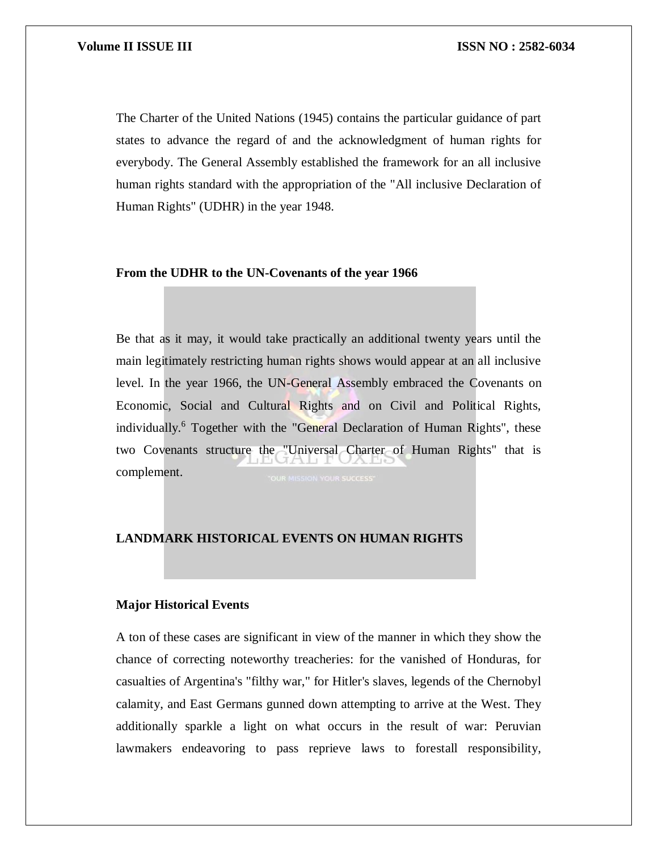The Charter of the United Nations (1945) contains the particular guidance of part states to advance the regard of and the acknowledgment of human rights for everybody. The General Assembly established the framework for an all inclusive human rights standard with the appropriation of the "All inclusive Declaration of Human Rights" (UDHR) in the year 1948.

#### **From the UDHR to the UN-Covenants of the year 1966**

Be that as it may, it would take practically an additional twenty years until the main legitimately restricting human rights shows would appear at an all inclusive level. In the year 1966, the UN-General Assembly embraced the Covenants on Economic, Social and Cultural Rights and on Civil and Political Rights, individually.<sup>6</sup> Together with the "General Declaration of Human Rights", these two Covenants structure the "Universal Charter of Human Rights" that is complement.

### **LANDMARK HISTORICAL EVENTS ON HUMAN RIGHTS**

#### **Major Historical Events**

A ton of these cases are significant in view of the manner in which they show the chance of correcting noteworthy treacheries: for the vanished of Honduras, for casualties of Argentina's "filthy war," for Hitler's slaves, legends of the Chernobyl calamity, and East Germans gunned down attempting to arrive at the West. They additionally sparkle a light on what occurs in the result of war: Peruvian lawmakers endeavoring to pass reprieve laws to forestall responsibility,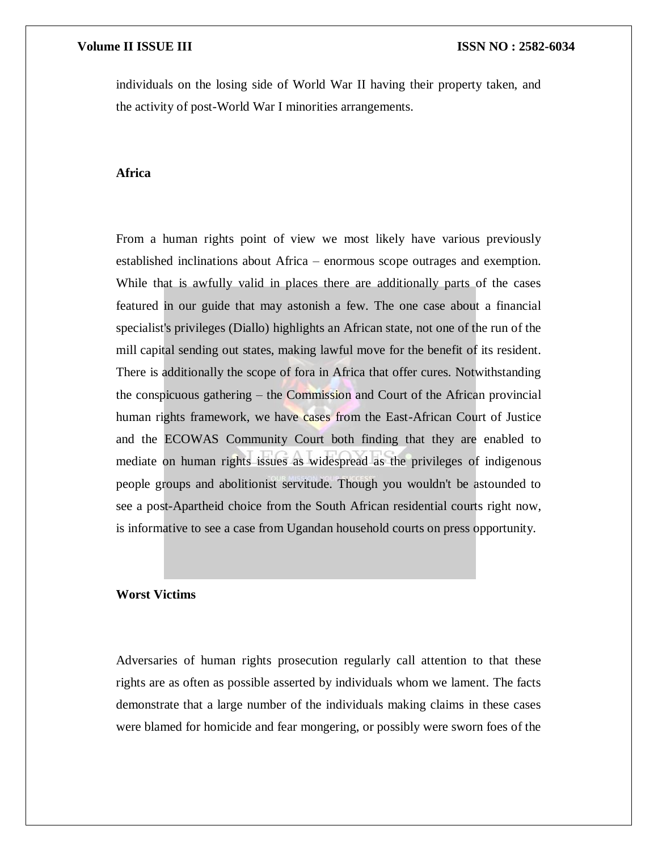individuals on the losing side of World War II having their property taken, and the activity of post-World War I minorities arrangements.

#### **Africa**

From a human rights point of view we most likely have various previously established inclinations about Africa – enormous scope outrages and exemption. While that is awfully valid in places there are additionally parts of the cases featured in our guide that may astonish a few. The one case about a financial specialist's privileges (Diallo) highlights an African state, not one of the run of the mill capital sending out states, making lawful move for the benefit of its resident. There is additionally the scope of fora in Africa that offer cures. Notwithstanding the conspicuous gathering – the Commission and Court of the African provincial human rights framework, we have cases from the East-African Court of Justice and the ECOWAS Community Court both finding that they are enabled to mediate on human rights issues as widespread as the privileges of indigenous people groups and abolitionist servitude. Though you wouldn't be astounded to see a post-Apartheid choice from the South African residential courts right now, is informative to see a case from Ugandan household courts on press opportunity.

#### **Worst Victims**

Adversaries of human rights prosecution regularly call attention to that these rights are as often as possible asserted by individuals whom we lament. The facts demonstrate that a large number of the individuals making claims in these cases were blamed for homicide and fear mongering, or possibly were sworn foes of the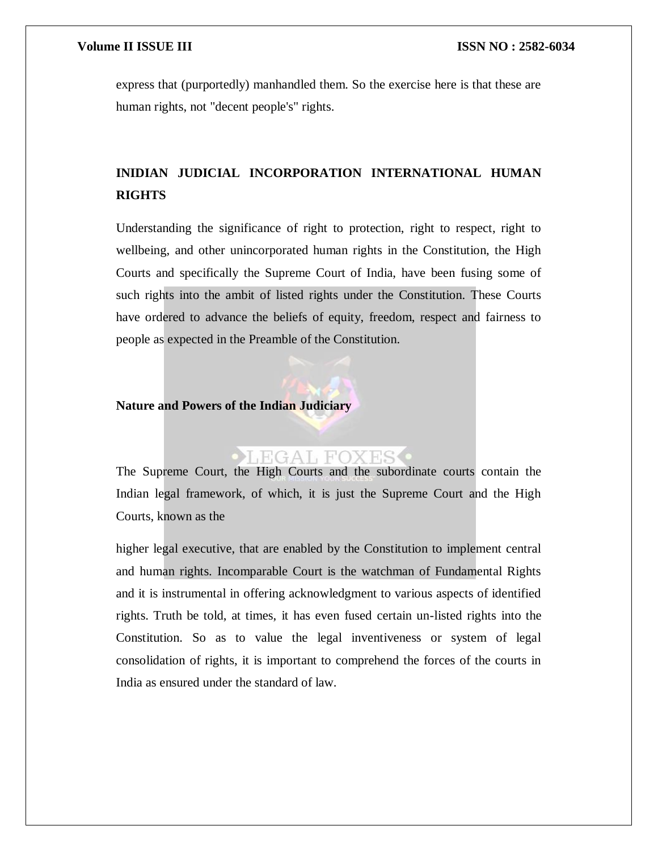express that (purportedly) manhandled them. So the exercise here is that these are human rights, not "decent people's" rights.

# **INIDIAN JUDICIAL INCORPORATION INTERNATIONAL HUMAN RIGHTS**

Understanding the significance of right to protection, right to respect, right to wellbeing, and other unincorporated human rights in the Constitution, the High Courts and specifically the Supreme Court of India, have been fusing some of such rights into the ambit of listed rights under the Constitution. These Courts have ordered to advance the beliefs of equity, freedom, respect and fairness to people as expected in the Preamble of the Constitution.

#### **Nature and Powers of the Indian Judiciary**

## LEGAL FOXES

The Supreme Court, the High Courts and the subordinate courts contain the Indian legal framework, of which, it is just the Supreme Court and the High Courts, known as the

higher legal executive, that are enabled by the Constitution to implement central and human rights. Incomparable Court is the watchman of Fundamental Rights and it is instrumental in offering acknowledgment to various aspects of identified rights. Truth be told, at times, it has even fused certain un-listed rights into the Constitution. So as to value the legal inventiveness or system of legal consolidation of rights, it is important to comprehend the forces of the courts in India as ensured under the standard of law.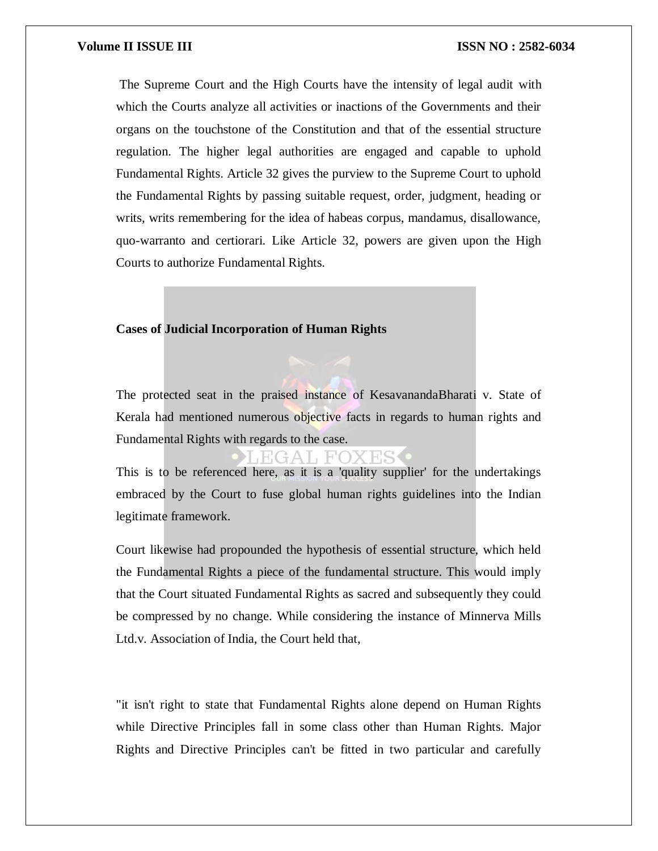The Supreme Court and the High Courts have the intensity of legal audit with which the Courts analyze all activities or inactions of the Governments and their organs on the touchstone of the Constitution and that of the essential structure regulation. The higher legal authorities are engaged and capable to uphold Fundamental Rights. Article 32 gives the purview to the Supreme Court to uphold the Fundamental Rights by passing suitable request, order, judgment, heading or writs, writs remembering for the idea of habeas corpus, mandamus, disallowance, quo-warranto and certiorari. Like Article 32, powers are given upon the High Courts to authorize Fundamental Rights.

#### **Cases of Judicial Incorporation of Human Rights**

The protected seat in the praised instance of KesavanandaBharati v. State of Kerala had mentioned numerous objective facts in regards to human rights and Fundamental Rights with regards to the case.

### EGAL FOXES

This is to be referenced here, as it is a 'quality supplier' for the undertakings embraced by the Court to fuse global human rights guidelines into the Indian legitimate framework.

Court likewise had propounded the hypothesis of essential structure, which held the Fundamental Rights a piece of the fundamental structure. This would imply that the Court situated Fundamental Rights as sacred and subsequently they could be compressed by no change. While considering the instance of Minnerva Mills Ltd.v. Association of India, the Court held that,

"it isn't right to state that Fundamental Rights alone depend on Human Rights while Directive Principles fall in some class other than Human Rights. Major Rights and Directive Principles can't be fitted in two particular and carefully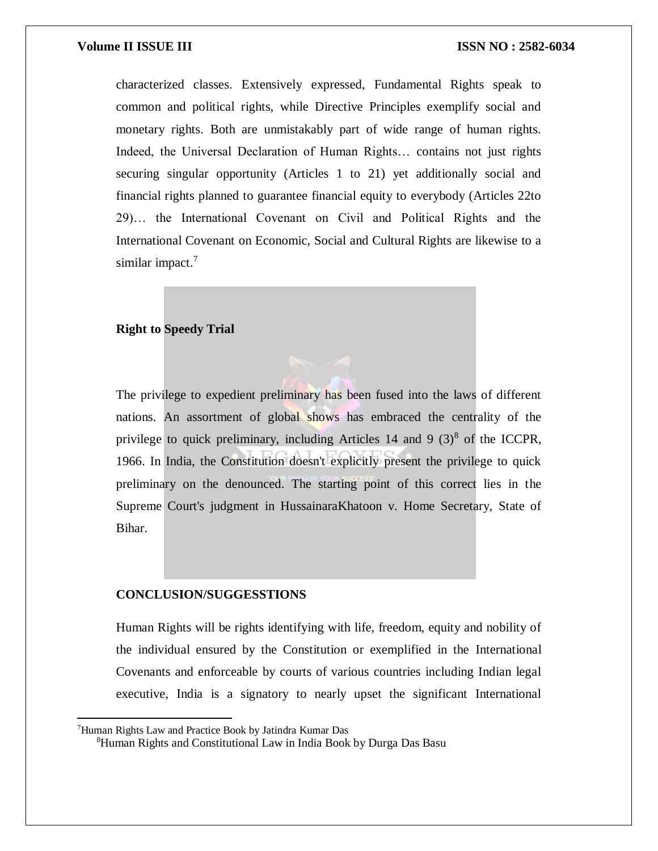characterized classes. Extensively expressed, Fundamental Rights speak to common and political rights, while Directive Principles exemplify social and monetary rights. Both are unmistakably part of wide range of human rights. Indeed, the Universal Declaration of Human Rights… contains not just rights securing singular opportunity (Articles 1 to 21) yet additionally social and financial rights planned to guarantee financial equity to everybody (Articles 22to 29)… the International Covenant on Civil and Political Rights and the International Covenant on Economic, Social and Cultural Rights are likewise to a similar impact. $7$ 

### **Right to Speedy Trial**

The privilege to expedient preliminary has been fused into the laws of different nations. An assortment of global shows has embraced the centrality of the privilege to quick preliminary, including Articles 14 and 9  $(3)^8$  of the ICCPR, 1966. In India, the Constitution doesn't explicitly present the privilege to quick preliminary on the denounced. The starting point of this correct lies in the Supreme Court's judgment in HussainaraKhatoon v. Home Secretary, State of Bihar.

#### **CONCLUSION/SUGGESSTIONS**

Human Rights will be rights identifying with life, freedom, equity and nobility of the individual ensured by the Constitution or exemplified in the International Covenants and enforceable by courts of various countries including Indian legal executive, India is a signatory to nearly upset the significant International

 $\overline{\phantom{a}}$ 

<sup>7</sup>Human Rights Law and Practice Book by Jatindra Kumar Das

<sup>8</sup>Human Rights and Constitutional Law in India Book by Durga Das Basu